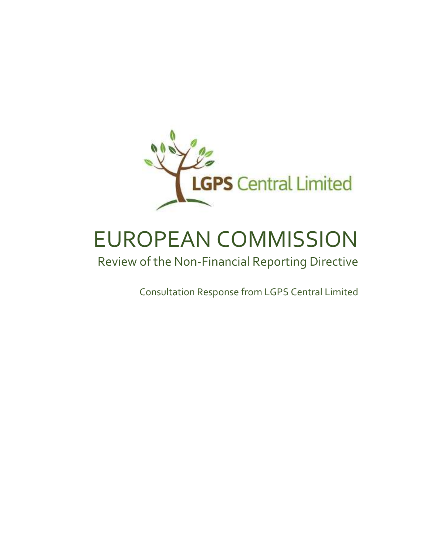

# EUROPEAN COMMISSION

## Review of the Non-Financial Reporting Directive

Consultation Response from LGPS Central Limited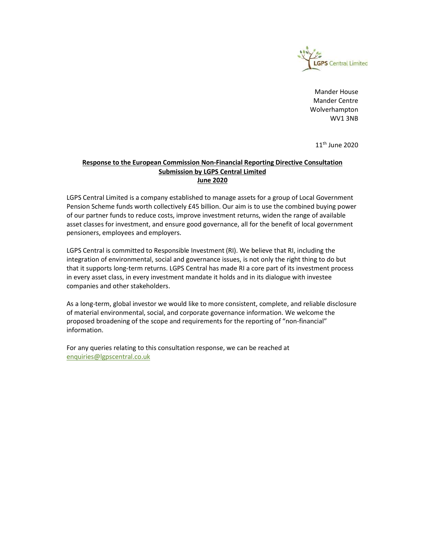

Mander House Mander Centre Wolverhampton WV1 3NB

 $11<sup>th</sup>$  June 2020

#### Response to the European Commission Non-Financial Reporting Directive Consultation Submission by LGPS Central Limited June 2020

LGPS Central Limited is a company established to manage assets for a group of Local Government Pension Scheme funds worth collectively £45 billion. Our aim is to use the combined buying power of our partner funds to reduce costs, improve investment returns, widen the range of available asset classes for investment, and ensure good governance, all for the benefit of local government pensioners, employees and employers.

LGPS Central is committed to Responsible Investment (RI). We believe that RI, including the integration of environmental, social and governance issues, is not only the right thing to do but that it supports long-term returns. LGPS Central has made RI a core part of its investment process in every asset class, in every investment mandate it holds and in its dialogue with investee companies and other stakeholders.

As a long-term, global investor we would like to more consistent, complete, and reliable disclosure of material environmental, social, and corporate governance information. We welcome the proposed broadening of the scope and requirements for the reporting of "non-financial" information.

For any queries relating to this consultation response, we can be reached at enquiries@lgpscentral.co.uk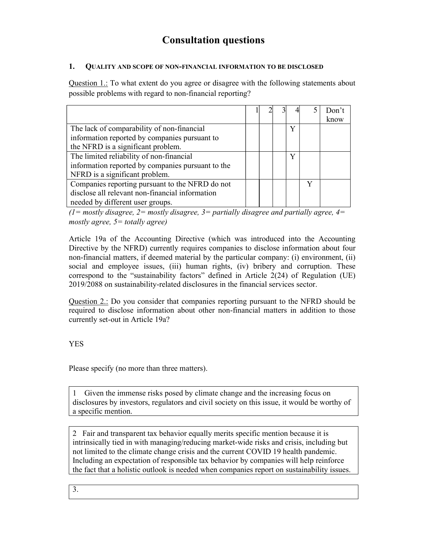### Consultation questions

#### 1. QUALITY AND SCOPE OF NON-FINANCIAL INFORMATION TO BE DISCLOSED

Question 1.: To what extent do you agree or disagree with the following statements about possible problems with regard to non-financial reporting?

|                                                   |  |   |   | Don't |
|---------------------------------------------------|--|---|---|-------|
|                                                   |  |   |   | know  |
| The lack of comparability of non-financial        |  | v |   |       |
| information reported by companies pursuant to     |  |   |   |       |
| the NFRD is a significant problem.                |  |   |   |       |
| The limited reliability of non-financial          |  | v |   |       |
| information reported by companies pursuant to the |  |   |   |       |
| NFRD is a significant problem.                    |  |   |   |       |
| Companies reporting pursuant to the NFRD do not   |  |   | v |       |
| disclose all relevant non-financial information   |  |   |   |       |
| needed by different user groups.                  |  |   |   |       |

(1= mostly disagree, 2= mostly disagree, 3= partially disagree and partially agree, 4= mostly agree,  $5 =$  totally agree)

Article 19a of the Accounting Directive (which was introduced into the Accounting Directive by the NFRD) currently requires companies to disclose information about four non-financial matters, if deemed material by the particular company: (i) environment, (ii) social and employee issues, (iii) human rights, (iv) bribery and corruption. These correspond to the "sustainability factors" defined in Article 2(24) of Regulation (UE) 2019/2088 on sustainability-related disclosures in the financial services sector.

Question 2.: Do you consider that companies reporting pursuant to the NFRD should be required to disclose information about other non-financial matters in addition to those currently set-out in Article 19a?

YES

Please specify (no more than three matters).

1 Given the immense risks posed by climate change and the increasing focus on disclosures by investors, regulators and civil society on this issue, it would be worthy of a specific mention.

2 Fair and transparent tax behavior equally merits specific mention because it is intrinsically tied in with managing/reducing market-wide risks and crisis, including but not limited to the climate change crisis and the current COVID 19 health pandemic. Including an expectation of responsible tax behavior by companies will help reinforce the fact that a holistic outlook is needed when companies report on sustainability issues.

3.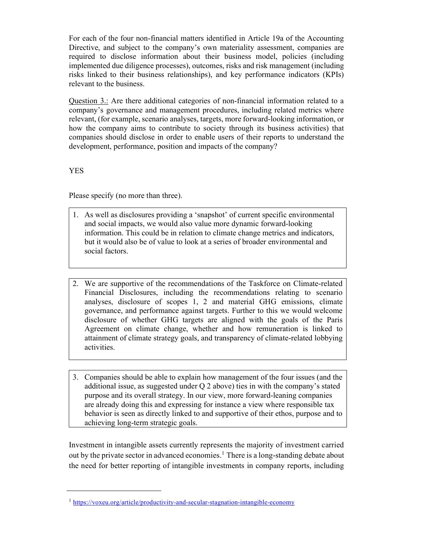For each of the four non-financial matters identified in Article 19a of the Accounting Directive, and subject to the company's own materiality assessment, companies are required to disclose information about their business model, policies (including implemented due diligence processes), outcomes, risks and risk management (including risks linked to their business relationships), and key performance indicators (KPIs) relevant to the business.

Question 3.: Are there additional categories of non-financial information related to a company's governance and management procedures, including related metrics where relevant, (for example, scenario analyses, targets, more forward-looking information, or how the company aims to contribute to society through its business activities) that companies should disclose in order to enable users of their reports to understand the development, performance, position and impacts of the company?

YES

Please specify (no more than three).

- 1. As well as disclosures providing a 'snapshot' of current specific environmental and social impacts, we would also value more dynamic forward-looking information. This could be in relation to climate change metrics and indicators, but it would also be of value to look at a series of broader environmental and social factors.
- 2. We are supportive of the recommendations of the Taskforce on Climate-related Financial Disclosures, including the recommendations relating to scenario analyses, disclosure of scopes 1, 2 and material GHG emissions, climate governance, and performance against targets. Further to this we would welcome disclosure of whether GHG targets are aligned with the goals of the Paris Agreement on climate change, whether and how remuneration is linked to attainment of climate strategy goals, and transparency of climate-related lobbying activities.
- 3. Companies should be able to explain how management of the four issues (and the additional issue, as suggested under Q 2 above) ties in with the company's stated purpose and its overall strategy. In our view, more forward-leaning companies are already doing this and expressing for instance a view where responsible tax behavior is seen as directly linked to and supportive of their ethos, purpose and to achieving long-term strategic goals.

Investment in intangible assets currently represents the majority of investment carried out by the private sector in advanced economies.<sup>1</sup> There is a long-standing debate about the need for better reporting of intangible investments in company reports, including

<sup>&</sup>lt;sup>1</sup> https://voxeu.org/article/productivity-and-secular-stagnation-intangible-economy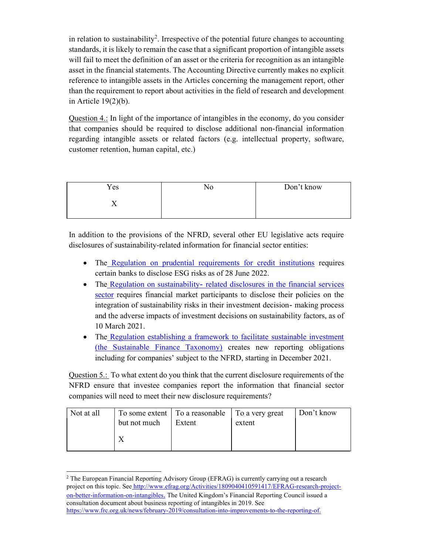in relation to sustainability<sup>2</sup>. Irrespective of the potential future changes to accounting standards, it is likely to remain the case that a significant proportion of intangible assets will fail to meet the definition of an asset or the criteria for recognition as an intangible asset in the financial statements. The Accounting Directive currently makes no explicit reference to intangible assets in the Articles concerning the management report, other than the requirement to report about activities in the field of research and development in Article 19(2)(b).

Question 4.: In light of the importance of intangibles in the economy, do you consider that companies should be required to disclose additional non-financial information regarding intangible assets or related factors (e.g. intellectual property, software, customer retention, human capital, etc.)

| Yes | No | Don't know |
|-----|----|------------|
|     |    |            |
|     |    |            |

In addition to the provisions of the NFRD, several other EU legislative acts require disclosures of sustainability-related information for financial sector entities:

- The Regulation on prudential requirements for credit institutions requires certain banks to disclose ESG risks as of 28 June 2022.
- The Regulation on sustainability- related disclosures in the financial services sector requires financial market participants to disclose their policies on the integration of sustainability risks in their investment decision- making process and the adverse impacts of investment decisions on sustainability factors, as of 10 March 2021.
- The Regulation establishing a framework to facilitate sustainable investment (the Sustainable Finance Taxonomy) creates new reporting obligations including for companies' subject to the NFRD, starting in December 2021.

Question 5.: To what extent do you think that the current disclosure requirements of the NFRD ensure that investee companies report the information that financial sector companies will need to meet their new disclosure requirements?

| Not at all | but not much | To some extent   To a reasonable   To a very great<br>Extent | extent | Don't know |
|------------|--------------|--------------------------------------------------------------|--------|------------|
|            |              |                                                              |        |            |

<sup>&</sup>lt;sup>2</sup> The European Financial Reporting Advisory Group (EFRAG) is currently carrying out a research project on this topic. See http://www.efrag.org/Activities/1809040410591417/EFRAG-research-projecton-better-information-on-intangibles. The United Kingdom's Financial Reporting Council issued a consultation document about business reporting of intangibles in 2019. See https://www.frc.org.uk/news/february-2019/consultation-into-improvements-to-the-reporting-of.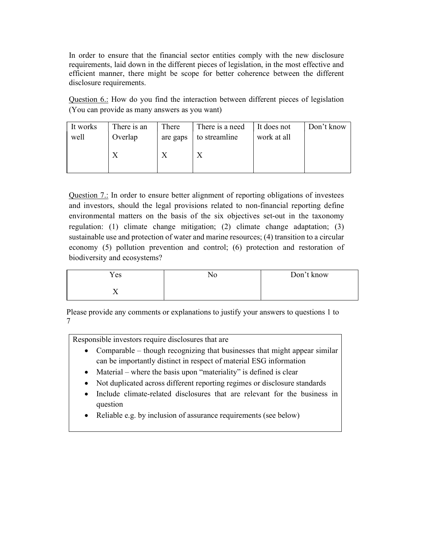In order to ensure that the financial sector entities comply with the new disclosure requirements, laid down in the different pieces of legislation, in the most effective and efficient manner, there might be scope for better coherence between the different disclosure requirements.

Question 6.: How do you find the interaction between different pieces of legislation (You can provide as many answers as you want)

| It works | There is an | There    | There is a need | It does not | Don't know |
|----------|-------------|----------|-----------------|-------------|------------|
| well     | Overlap     | are gaps | to streamline   | work at all |            |
|          |             |          |                 |             |            |

Question 7.: In order to ensure better alignment of reporting obligations of investees and investors, should the legal provisions related to non-financial reporting define environmental matters on the basis of the six objectives set-out in the taxonomy regulation: (1) climate change mitigation; (2) climate change adaptation; (3) sustainable use and protection of water and marine resources; (4) transition to a circular economy (5) pollution prevention and control; (6) protection and restoration of biodiversity and ecosystems?

| Yes        | Don't know |
|------------|------------|
| . .<br>- - |            |

Please provide any comments or explanations to justify your answers to questions 1 to 7

Responsible investors require disclosures that are

- Comparable though recognizing that businesses that might appear similar can be importantly distinct in respect of material ESG information
- Material where the basis upon "materiality" is defined is clear
- Not duplicated across different reporting regimes or disclosure standards
- Include climate-related disclosures that are relevant for the business in question
- Reliable e.g. by inclusion of assurance requirements (see below)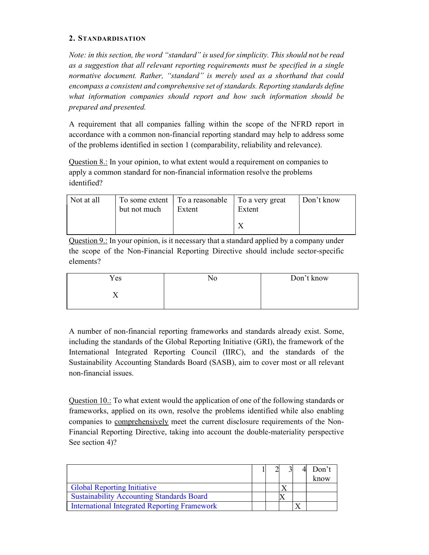#### 2. STANDARDISATION

Note: in this section, the word "standard" is used for simplicity. This should not be read as a suggestion that all relevant reporting requirements must be specified in a single normative document. Rather, "standard" is merely used as a shorthand that could encompass a consistent and comprehensive set of standards. Reporting standards define what information companies should report and how such information should be prepared and presented.

A requirement that all companies falling within the scope of the NFRD report in accordance with a common non-financial reporting standard may help to address some of the problems identified in section 1 (comparability, reliability and relevance).

Question 8.: In your opinion, to what extent would a requirement on companies to apply a common standard for non-financial information resolve the problems identified?

| Not at all | but not much | To some extent   To a reasonable   To a very great<br>Extent | Extent | Don't know |
|------------|--------------|--------------------------------------------------------------|--------|------------|
|            |              |                                                              |        |            |

Question 9.: In your opinion, is it necessary that a standard applied by a company under the scope of the Non-Financial Reporting Directive should include sector-specific elements?

| Don't know |
|------------|
|            |
|            |

A number of non-financial reporting frameworks and standards already exist. Some, including the standards of the Global Reporting Initiative (GRI), the framework of the International Integrated Reporting Council (IIRC), and the standards of the Sustainability Accounting Standards Board (SASB), aim to cover most or all relevant non-financial issues.

Question 10.: To what extent would the application of one of the following standards or frameworks, applied on its own, resolve the problems identified while also enabling companies to comprehensively meet the current disclosure requirements of the Non-Financial Reporting Directive, taking into account the double-materiality perspective See section 4)?

|                                                     |  |  | Don't |
|-----------------------------------------------------|--|--|-------|
|                                                     |  |  | know  |
| <b>Global Reporting Initiative</b>                  |  |  |       |
| <b>Sustainability Accounting Standards Board</b>    |  |  |       |
| <b>International Integrated Reporting Framework</b> |  |  |       |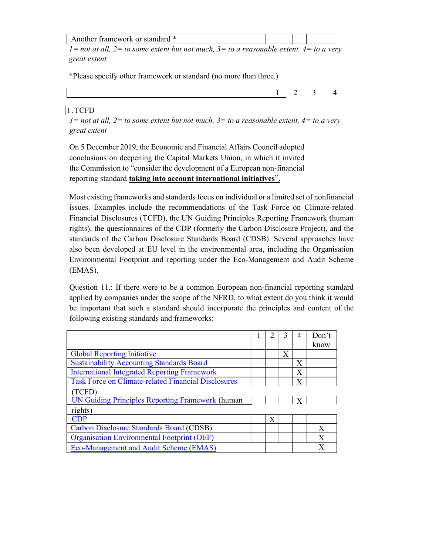| dard *<br>or<br>- framework<br>$\rightarrow$<br>'NI: A |  |  |  |
|--------------------------------------------------------|--|--|--|
|                                                        |  |  |  |

 $1=$  not at all,  $2=$  to some extent but not much,  $3=$  to a reasonable extent,  $4=$  to a very great extent

\*Please specify other framework or standard (no more than three.)

|                                            | $\gamma$<br>∸ | $\mathcal{L}$ |  |
|--------------------------------------------|---------------|---------------|--|
|                                            |               |               |  |
| $\sim$ $\sim$ $\sim$<br>1 TCFD<br>1.1<br>ິ |               |               |  |

 $1=$  not at all,  $2=$  to some extent but not much,  $3=$  to a reasonable extent,  $4=$  to a very great extent

On 5 December 2019, the Economic and Financial Affairs Council adopted conclusions on deepening the Capital Markets Union, in which it invited the Commission to "consider the development of a European non-financial reporting standard taking into account international initiatives".

Most existing frameworks and standards focus on individual or a limited set of nonfinancial issues. Examples include the recommendations of the Task Force on Climate-related Financial Disclosures (TCFD), the UN Guiding Principles Reporting Framework (human rights), the questionnaires of the CDP (formerly the Carbon Disclosure Project), and the standards of the Carbon Disclosure Standards Board (CDSB). Several approaches have also been developed at EU level in the environmental area, including the Organisation Environmental Footprint and reporting under the Eco-Management and Audit Scheme (EMAS).

Question 11.: If there were to be a common European non-financial reporting standard applied by companies under the scope of the NFRD, to what extent do you think it would be important that such a standard should incorporate the principles and content of the following existing standards and frameworks:

|                                                            |   |   |   | Don't |
|------------------------------------------------------------|---|---|---|-------|
|                                                            |   |   |   | know  |
| <b>Global Reporting Initiative</b>                         |   | Х |   |       |
| <b>Sustainability Accounting Standards Board</b>           |   |   | X |       |
| <b>International Integrated Reporting Framework</b>        |   |   | Χ |       |
| <b>Task Force on Climate-related Financial Disclosures</b> |   |   | X |       |
| (TCFD)                                                     |   |   |   |       |
| <b>UN Guiding Principles Reporting Framework (human</b>    |   |   | X |       |
| rights)                                                    |   |   |   |       |
| <b>CDP</b>                                                 | Х |   |   |       |
| Carbon Disclosure Standards Board (CDSB)                   |   |   |   | X     |
| <b>Organisation Environmental Footprint (OEF)</b>          |   |   |   | Х     |
| Eco-Management and Audit Scheme (EMAS)                     |   |   |   | X     |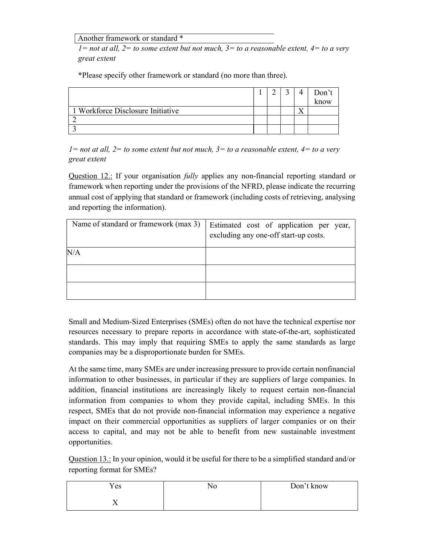Another framework or standard \*

 $1=$  not at all,  $2=$  to some extent but not much,  $3=$  to a reasonable extent,  $4=$  to a very great extent

\*Please specify other framework or standard (no more than three).

|                                   |  |     | Don't |
|-----------------------------------|--|-----|-------|
|                                   |  |     | know  |
| 1 Workforce Disclosure Initiative |  | ∡ ⊾ |       |
|                                   |  |     |       |
|                                   |  |     |       |

 $1=$  not at all,  $2=$  to some extent but not much,  $3=$  to a reasonable extent,  $4=$  to a very great extent

Question 12.: If your organisation *fully* applies any non-financial reporting standard or framework when reporting under the provisions of the NFRD, please indicate the recurring annual cost of applying that standard or framework (including costs of retrieving, analysing and reporting the information).

| Name of standard or framework (max 3) | Estimated cost of application per year,<br>excluding any one-off start-up costs. |
|---------------------------------------|----------------------------------------------------------------------------------|
| N/A                                   |                                                                                  |
|                                       |                                                                                  |
|                                       |                                                                                  |

Small and Medium-Sized Enterprises (SMEs) often do not have the technical expertise nor resources necessary to prepare reports in accordance with state-of-the-art, sophisticated standards. This may imply that requiring SMEs to apply the same standards as large companies may be a disproportionate burden for SMEs.

At the same time, many SMEs are under increasing pressure to provide certain nonfinancial information to other businesses, in particular if they are suppliers of large companies. In addition, financial institutions are increasingly likely to request certain non-financial information from companies to whom they provide capital, including SMEs. In this respect, SMEs that do not provide non-financial information may experience a negative impact on their commercial opportunities as suppliers of larger companies or on their access to capital, and may not be able to benefit from new sustainable investment opportunities.

Question 13.: In your opinion, would it be useful for there to be a simplified standard and/or reporting format for SMEs?

| Yes            | Don't know |
|----------------|------------|
| $\overline{ }$ |            |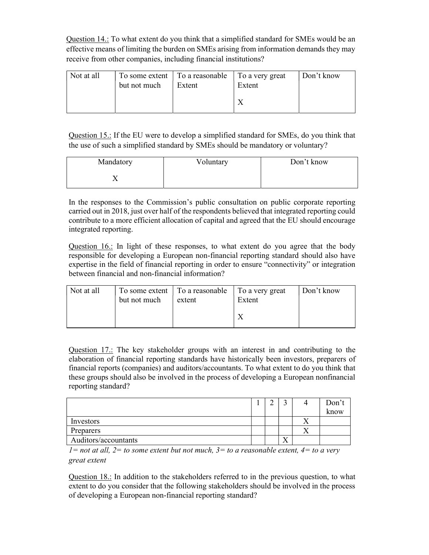Question 14.: To what extent do you think that a simplified standard for SMEs would be an effective means of limiting the burden on SMEs arising from information demands they may receive from other companies, including financial institutions?

| Not at all | but not much | To some extent   To a reasonable   To a very great<br>Extent | Extent | Don't know |
|------------|--------------|--------------------------------------------------------------|--------|------------|
|            |              |                                                              |        |            |

Question 15.: If the EU were to develop a simplified standard for SMEs, do you think that the use of such a simplified standard by SMEs should be mandatory or voluntary?

| Mandatory | Voluntary | Don't know |
|-----------|-----------|------------|
|           |           |            |

In the responses to the Commission's public consultation on public corporate reporting carried out in 2018, just over half of the respondents believed that integrated reporting could contribute to a more efficient allocation of capital and agreed that the EU should encourage integrated reporting.

Question 16.: In light of these responses, to what extent do you agree that the body responsible for developing a European non-financial reporting standard should also have expertise in the field of financial reporting in order to ensure "connectivity" or integration between financial and non-financial information?

| Not at all | but not much | To some extent   To a reasonable   To a very great<br>extent | Extent | Don't know |
|------------|--------------|--------------------------------------------------------------|--------|------------|
|            |              |                                                              |        |            |

Question 17.: The key stakeholder groups with an interest in and contributing to the elaboration of financial reporting standards have historically been investors, preparers of financial reports (companies) and auditors/accountants. To what extent to do you think that these groups should also be involved in the process of developing a European nonfinancial reporting standard?

|                      |  |            |           | Don't |
|----------------------|--|------------|-----------|-------|
|                      |  |            |           | know  |
| Investors            |  |            |           |       |
| Preparers            |  |            | $\lambda$ |       |
| Auditors/accountants |  | $\sqrt{1}$ |           |       |

 $1=$  not at all,  $2=$  to some extent but not much,  $3=$  to a reasonable extent,  $4=$  to a very great extent

Question 18.: In addition to the stakeholders referred to in the previous question, to what extent to do you consider that the following stakeholders should be involved in the process of developing a European non-financial reporting standard?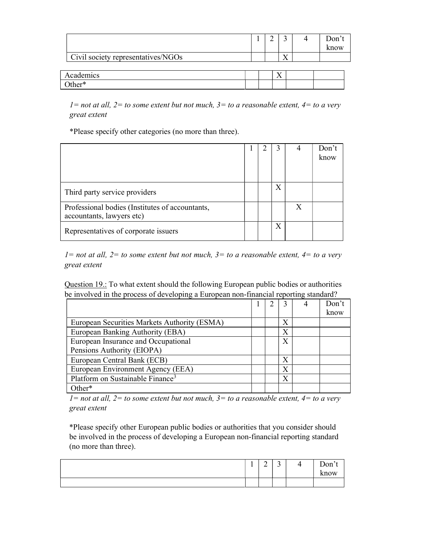|                                    |  |    |    | Don't<br>know |
|------------------------------------|--|----|----|---------------|
| Civil society representatives/NGOs |  |    | ۲Z |               |
|                                    |  |    |    |               |
| Academics                          |  | 77 |    |               |
| $\mathrm{Other}^*$                 |  |    |    |               |

 $1=$  not at all,  $2=$  to some extent but not much,  $3=$  to a reasonable extent,  $4=$  to a very great extent

\*Please specify other categories (no more than three).

|                                                                              |  |   | Don't<br>know |
|------------------------------------------------------------------------------|--|---|---------------|
| Third party service providers                                                |  | Х |               |
| Professional bodies (Institutes of accountants,<br>accountants, lawyers etc) |  |   |               |
| Representatives of corporate issuers                                         |  | Х |               |

 $1=$  not at all,  $2=$  to some extent but not much,  $3=$  to a reasonable extent,  $4=$  to a very great extent

Question 19.: To what extent should the following European public bodies or authorities be involved in the process of developing a European non-financial reporting standard?

|                                              |  |   | Don't |
|----------------------------------------------|--|---|-------|
|                                              |  |   | know  |
| European Securities Markets Authority (ESMA) |  | X |       |
| European Banking Authority (EBA)             |  | Х |       |
| European Insurance and Occupational          |  | Х |       |
| Pensions Authority (EIOPA)                   |  |   |       |
| European Central Bank (ECB)                  |  | Х |       |
| European Environment Agency (EEA)            |  | X |       |
| Platform on Sustainable Finance <sup>3</sup> |  | X |       |
| ∩ther*                                       |  |   |       |

 $1=$  not at all,  $2=$  to some extent but not much,  $3=$  to a reasonable extent,  $4=$  to a very great extent

\*Please specify other European public bodies or authorities that you consider should be involved in the process of developing a European non-financial reporting standard (no more than three).

| -<br><b>.</b> | $\sim$<br>∼ | $\sim$<br><u>ب</u> | - | $Don'^+$ |
|---------------|-------------|--------------------|---|----------|
|               |             |                    |   | know     |
|               |             |                    |   |          |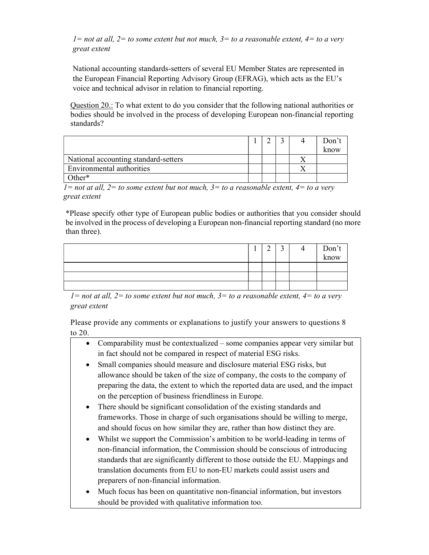$1=$  not at all,  $2=$  to some extent but not much,  $3=$  to a reasonable extent,  $4=$  to a very great extent

National accounting standards-setters of several EU Member States are represented in the European Financial Reporting Advisory Group (EFRAG), which acts as the EU's voice and technical advisor in relation to financial reporting.

Question 20.: To what extent to do you consider that the following national authorities or bodies should be involved in the process of developing European non-financial reporting standards?

|                                      |  |  | Don't |
|--------------------------------------|--|--|-------|
|                                      |  |  | know  |
| National accounting standard-setters |  |  |       |
| Environmental authorities            |  |  |       |
| )ther*                               |  |  |       |

 $1=$  not at all,  $2=$  to some extent but not much,  $3=$  to a reasonable extent,  $4=$  to a very great extent

\*Please specify other type of European public bodies or authorities that you consider should be involved in the process of developing a European non-financial reporting standard (no more than three).

|  | ◠ | ت | Don't<br>know |
|--|---|---|---------------|
|  |   |   |               |
|  |   |   |               |
|  |   |   |               |

 $1=$  not at all,  $2=$  to some extent but not much,  $3=$  to a reasonable extent,  $4=$  to a very great extent

Please provide any comments or explanations to justify your answers to questions 8 to 20.

- Comparability must be contextualized some companies appear very similar but in fact should not be compared in respect of material ESG risks.
	- Small companies should measure and disclosure material ESG risks, but allowance should be taken of the size of company, the costs to the company of preparing the data, the extent to which the reported data are used, and the impact on the perception of business friendliness in Europe.
	- There should be significant consolidation of the existing standards and frameworks. Those in charge of such organisations should be willing to merge, and should focus on how similar they are, rather than how distinct they are.
	- Whilst we support the Commission's ambition to be world-leading in terms of non-financial information, the Commission should be conscious of introducing standards that are significantly different to those outside the EU. Mappings and translation documents from EU to non-EU markets could assist users and preparers of non-financial information.
	- Much focus has been on quantitative non-financial information, but investors should be provided with qualitative information too.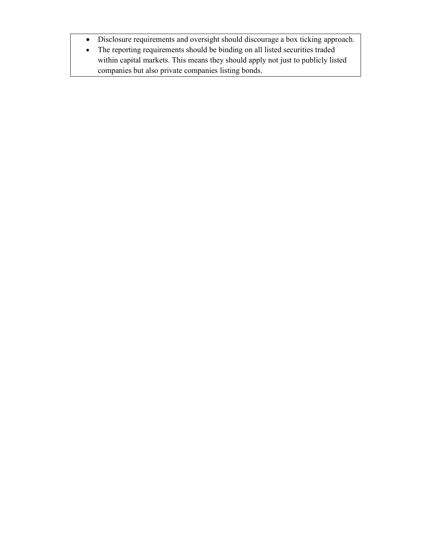- Disclosure requirements and oversight should discourage a box ticking approach.
- The reporting requirements should be binding on all listed securities traded within capital markets. This means they should apply not just to publicly listed companies but also private companies listing bonds.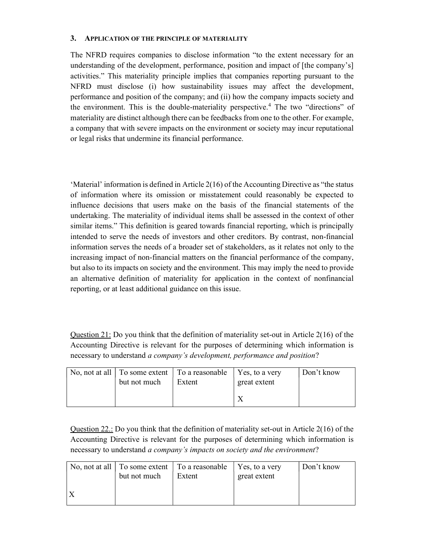#### 3. APPLICATION OF THE PRINCIPLE OF MATERIALITY

The NFRD requires companies to disclose information "to the extent necessary for an understanding of the development, performance, position and impact of [the company's] activities." This materiality principle implies that companies reporting pursuant to the NFRD must disclose (i) how sustainability issues may affect the development, performance and position of the company; and (ii) how the company impacts society and the environment. This is the double-materiality perspective.<sup>4</sup> The two "directions" of materiality are distinct although there can be feedbacks from one to the other. For example, a company that with severe impacts on the environment or society may incur reputational or legal risks that undermine its financial performance.

'Material' information is defined in Article 2(16) of the Accounting Directive as "the status of information where its omission or misstatement could reasonably be expected to influence decisions that users make on the basis of the financial statements of the undertaking. The materiality of individual items shall be assessed in the context of other similar items." This definition is geared towards financial reporting, which is principally intended to serve the needs of investors and other creditors. By contrast, non-financial information serves the needs of a broader set of stakeholders, as it relates not only to the increasing impact of non-financial matters on the financial performance of the company, but also to its impacts on society and the environment. This may imply the need to provide an alternative definition of materiality for application in the context of nonfinancial reporting, or at least additional guidance on this issue.

Question 21: Do you think that the definition of materiality set-out in Article 2(16) of the Accounting Directive is relevant for the purposes of determining which information is necessary to understand a company's development, performance and position?

| but not much | No, not at all $\vert$ To some extent $\vert$ To a reasonable $\vert$ Yes, to a very<br>Extent | great extent | Don't know |
|--------------|------------------------------------------------------------------------------------------------|--------------|------------|
|              |                                                                                                |              |            |

Question 22.: Do you think that the definition of materiality set-out in Article 2(16) of the Accounting Directive is relevant for the purposes of determining which information is necessary to understand a company's impacts on society and the environment?

| but not much | No, not at all $\vert$ To some extent $\vert$ To a reasonable $\vert$ Yes, to a very<br>Extent | great extent | Don't know |
|--------------|------------------------------------------------------------------------------------------------|--------------|------------|
|              |                                                                                                |              |            |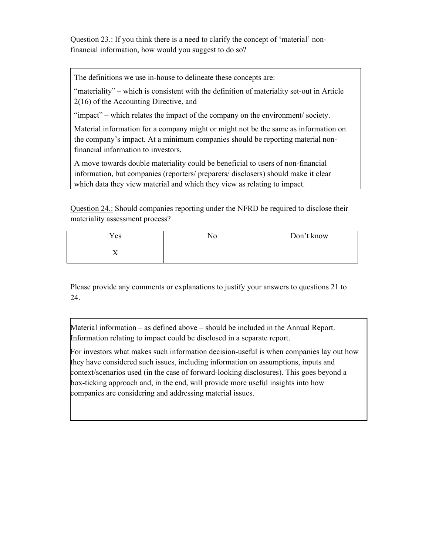Question 23.: If you think there is a need to clarify the concept of 'material' nonfinancial information, how would you suggest to do so?

The definitions we use in-house to delineate these concepts are:

"materiality" – which is consistent with the definition of materiality set-out in Article 2(16) of the Accounting Directive, and

"impact" – which relates the impact of the company on the environment/ society.

Material information for a company might or might not be the same as information on the company's impact. At a minimum companies should be reporting material nonfinancial information to investors.

A move towards double materiality could be beneficial to users of non-financial information, but companies (reporters/ preparers/ disclosers) should make it clear which data they view material and which they view as relating to impact.

Question 24.: Should companies reporting under the NFRD be required to disclose their materiality assessment process?

| Yes | No | Don't know |
|-----|----|------------|
| ∡⊾  |    |            |

Please provide any comments or explanations to justify your answers to questions 21 to 24.

Material information – as defined above – should be included in the Annual Report. Information relating to impact could be disclosed in a separate report.

For investors what makes such information decision-useful is when companies lay out how they have considered such issues, including information on assumptions, inputs and context/scenarios used (in the case of forward-looking disclosures). This goes beyond a box-ticking approach and, in the end, will provide more useful insights into how companies are considering and addressing material issues.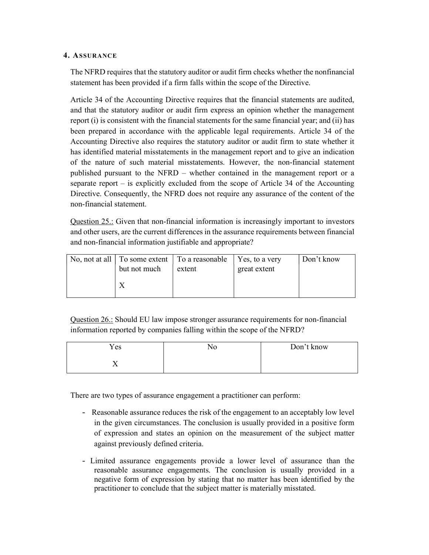#### 4. ASSURANCE

The NFRD requires that the statutory auditor or audit firm checks whether the nonfinancial statement has been provided if a firm falls within the scope of the Directive.

Article 34 of the Accounting Directive requires that the financial statements are audited, and that the statutory auditor or audit firm express an opinion whether the management report (i) is consistent with the financial statements for the same financial year; and (ii) has been prepared in accordance with the applicable legal requirements. Article 34 of the Accounting Directive also requires the statutory auditor or audit firm to state whether it has identified material misstatements in the management report and to give an indication of the nature of such material misstatements. However, the non-financial statement published pursuant to the NFRD – whether contained in the management report or a separate report – is explicitly excluded from the scope of Article 34 of the Accounting Directive. Consequently, the NFRD does not require any assurance of the content of the non-financial statement.

Question 25.: Given that non-financial information is increasingly important to investors and other users, are the current differences in the assurance requirements between financial and non-financial information justifiable and appropriate?

| but not much | No, not at all $\vert$ To some extent $\vert$ To a reasonable $\vert$ Yes, to a very<br>extent | great extent | Don't know |
|--------------|------------------------------------------------------------------------------------------------|--------------|------------|
|              |                                                                                                |              |            |

Question 26.: Should EU law impose stronger assurance requirements for non-financial information reported by companies falling within the scope of the NFRD?

| Yes | NС | Don't know |
|-----|----|------------|
|     |    |            |

There are two types of assurance engagement a practitioner can perform:

- Reasonable assurance reduces the risk of the engagement to an acceptably low level in the given circumstances. The conclusion is usually provided in a positive form of expression and states an opinion on the measurement of the subject matter against previously defined criteria.
- Limited assurance engagements provide a lower level of assurance than the reasonable assurance engagements. The conclusion is usually provided in a negative form of expression by stating that no matter has been identified by the practitioner to conclude that the subject matter is materially misstated.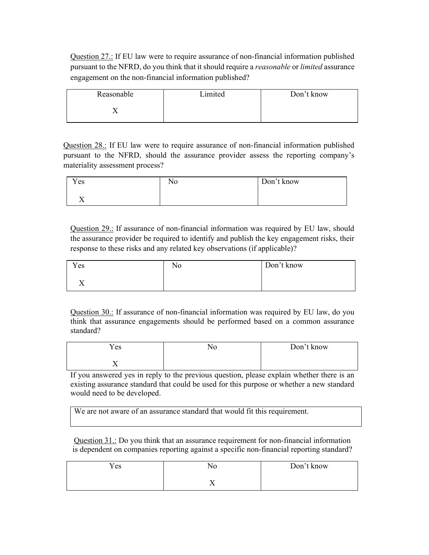Question 27.: If EU law were to require assurance of non-financial information published pursuant to the NFRD, do you think that it should require a reasonable or limited assurance engagement on the non-financial information published?

| Reasonable | Limited | Don't know |
|------------|---------|------------|
|            |         |            |

Question 28.: If EU law were to require assurance of non-financial information published pursuant to the NFRD, should the assurance provider assess the reporting company's materiality assessment process?

| Yes                  | N0. | Don't know |
|----------------------|-----|------------|
| --<br>$\overline{ }$ |     |            |

Question 29.: If assurance of non-financial information was required by EU law, should the assurance provider be required to identify and publish the key engagement risks, their response to these risks and any related key observations (if applicable)?

| Yes | <b>T</b><br>ΝO | Don't know |
|-----|----------------|------------|
|     |                |            |

Question 30.: If assurance of non-financial information was required by EU law, do you think that assurance engagements should be performed based on a common assurance standard?

| Yes                      | Don't know |
|--------------------------|------------|
| $\overline{\phantom{a}}$ |            |

If you answered yes in reply to the previous question, please explain whether there is an existing assurance standard that could be used for this purpose or whether a new standard would need to be developed.

We are not aware of an assurance standard that would fit this requirement.

Question 31.: Do you think that an assurance requirement for non-financial information is dependent on companies reporting against a specific non-financial reporting standard?

| Yes |                          | Don't know |
|-----|--------------------------|------------|
|     | $\overline{\phantom{a}}$ |            |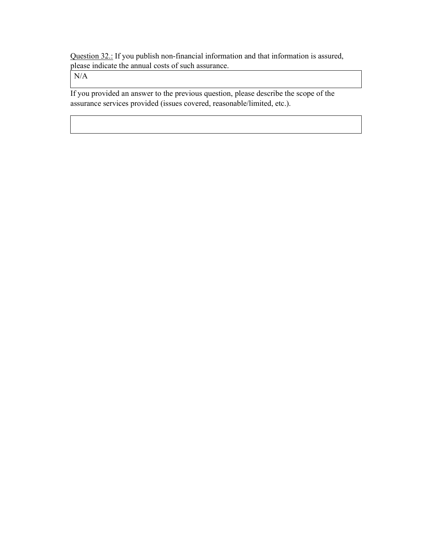Question 32.: If you publish non-financial information and that information is assured, please indicate the annual costs of such assurance.

N/A

If you provided an answer to the previous question, please describe the scope of the assurance services provided (issues covered, reasonable/limited, etc.).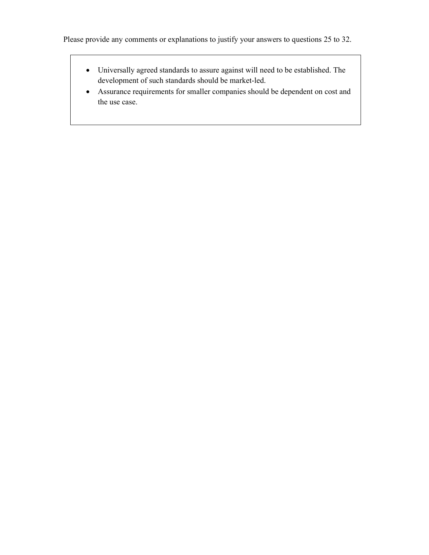- Universally agreed standards to assure against will need to be established. The development of such standards should be market-led.
- Assurance requirements for smaller companies should be dependent on cost and the use case.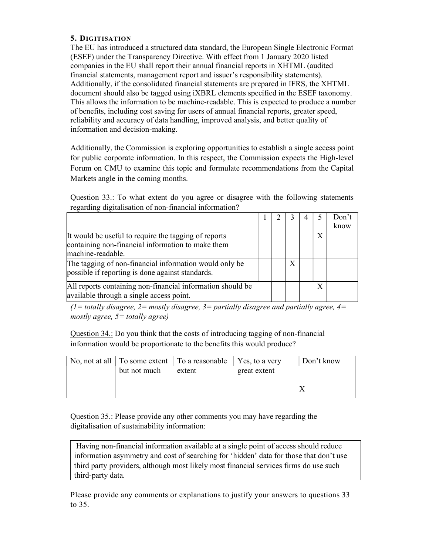#### 5. DIGITISATION

The EU has introduced a structured data standard, the European Single Electronic Format (ESEF) under the Transparency Directive. With effect from 1 January 2020 listed companies in the EU shall report their annual financial reports in XHTML (audited financial statements, management report and issuer's responsibility statements). Additionally, if the consolidated financial statements are prepared in IFRS, the XHTML document should also be tagged using iXBRL elements specified in the ESEF taxonomy. This allows the information to be machine-readable. This is expected to produce a number of benefits, including cost saving for users of annual financial reports, greater speed, reliability and accuracy of data handling, improved analysis, and better quality of information and decision-making.

Additionally, the Commission is exploring opportunities to establish a single access point for public corporate information. In this respect, the Commission expects the High-level Forum on CMU to examine this topic and formulate recommendations from the Capital Markets angle in the coming months.

Question 33.: To what extent do you agree or disagree with the following statements regarding digitalisation of non-financial information?

|                                                                                                                                |  |   |              | Don't<br>know |
|--------------------------------------------------------------------------------------------------------------------------------|--|---|--------------|---------------|
| It would be useful to require the tagging of reports<br>containing non-financial information to make them<br>machine-readable. |  |   | $\mathbf{X}$ |               |
| The tagging of non-financial information would only be<br>possible if reporting is done against standards.                     |  | X |              |               |
| All reports containing non-financial information should be<br>available through a single access point.                         |  |   | X            |               |

(1= totally disagree, 2= mostly disagree, 3= partially disagree and partially agree, 4= mostly agree,  $5 =$  totally agree)

Question 34.: Do you think that the costs of introducing tagging of non-financial information would be proportionate to the benefits this would produce?

| but not much | No, not at all $\vert$ To some extent $\vert$ To a reasonable $\vert$ Yes, to a very<br>extent | great extent | Don't know |
|--------------|------------------------------------------------------------------------------------------------|--------------|------------|
|              |                                                                                                |              |            |

Question 35.: Please provide any other comments you may have regarding the digitalisation of sustainability information:

 Having non-financial information available at a single point of access should reduce information asymmetry and cost of searching for 'hidden' data for those that don't use third party providers, although most likely most financial services firms do use such third-party data.

Please provide any comments or explanations to justify your answers to questions 33 to 35.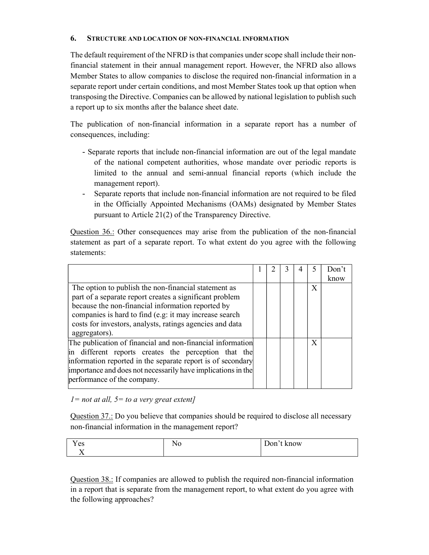#### 6. STRUCTURE AND LOCATION OF NON-FINANCIAL INFORMATION

The default requirement of the NFRD is that companies under scope shall include their nonfinancial statement in their annual management report. However, the NFRD also allows Member States to allow companies to disclose the required non-financial information in a separate report under certain conditions, and most Member States took up that option when transposing the Directive. Companies can be allowed by national legislation to publish such a report up to six months after the balance sheet date.

The publication of non-financial information in a separate report has a number of consequences, including:

- Separate reports that include non-financial information are out of the legal mandate of the national competent authorities, whose mandate over periodic reports is limited to the annual and semi-annual financial reports (which include the management report).
- Separate reports that include non-financial information are not required to be filed in the Officially Appointed Mechanisms (OAMs) designated by Member States pursuant to Article 21(2) of the Transparency Directive.

Question 36.: Other consequences may arise from the publication of the non-financial statement as part of a separate report. To what extent do you agree with the following statements:

|                                                                                                                                                                                                                                                                                                             |  |  |   | Don't<br>know |
|-------------------------------------------------------------------------------------------------------------------------------------------------------------------------------------------------------------------------------------------------------------------------------------------------------------|--|--|---|---------------|
| The option to publish the non-financial statement as<br>part of a separate report creates a significant problem<br>because the non-financial information reported by<br>companies is hard to find (e.g: it may increase search<br>costs for investors, analysts, ratings agencies and data<br>aggregators). |  |  | X |               |
| The publication of financial and non-financial information<br>in different reports creates the perception that the<br>information reported in the separate report is of secondary<br>importance and does not necessarily have implications in the<br>performance of the company.                            |  |  | X |               |

 $1=$  not at all,  $5=$  to a very great extent]

Question 37.: Do you believe that companies should be required to disclose all necessary non-financial information in the management report?

| Y es | 1 Y V | –<br>Know<br>$\sqrt{2}$<br>◡<br>◡ |
|------|-------|-----------------------------------|
|      |       |                                   |

Question 38.: If companies are allowed to publish the required non-financial information in a report that is separate from the management report, to what extent do you agree with the following approaches?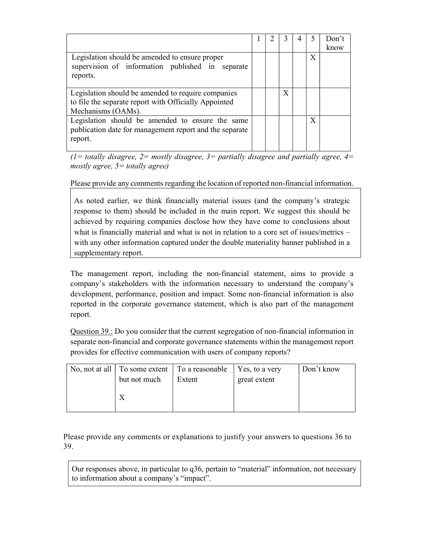|                                                                                                                                   |  |   |   | Don't<br>know |
|-----------------------------------------------------------------------------------------------------------------------------------|--|---|---|---------------|
| Legislation should be amended to ensure proper<br>supervision of information published in separate<br>reports.                    |  |   | X |               |
| Legislation should be amended to require companies<br>to file the separate report with Officially Appointed<br>Mechanisms (OAMs). |  | Χ |   |               |
| Legislation should be amended to ensure the same<br>publication date for management report and the separate<br>report.            |  |   | X |               |

(1= totally disagree, 2= mostly disagree, 3= partially disagree and partially agree,  $4=$ mostly agree,  $5 =$  totally agree)

Please provide any comments regarding the location of reported non-financial information.

As noted earlier, we think financially material issues (and the company's strategic response to them) should be included in the main report. We suggest this should be achieved by requiring companies disclose how they have come to conclusions about what is financially material and what is not in relation to a core set of issues/metrics – with any other information captured under the double materiality banner published in a supplementary report.

The management report, including the non-financial statement, aims to provide a company's stakeholders with the information necessary to understand the company's development, performance, position and impact. Some non-financial information is also reported in the corporate governance statement, which is also part of the management report.

Question 39.: Do you consider that the current segregation of non-financial information in separate non-financial and corporate governance statements within the management report provides for effective communication with users of company reports?

| No, not at all $\vert$ To some extent $\vert$ To a reasonable<br>but not much | Extent | Yes, to a very<br>great extent | Don't know |
|-------------------------------------------------------------------------------|--------|--------------------------------|------------|
|                                                                               |        |                                |            |

Please provide any comments or explanations to justify your answers to questions 36 to 39.

Our responses above, in particular to q36, pertain to "material" information, not necessary to information about a company's "impact".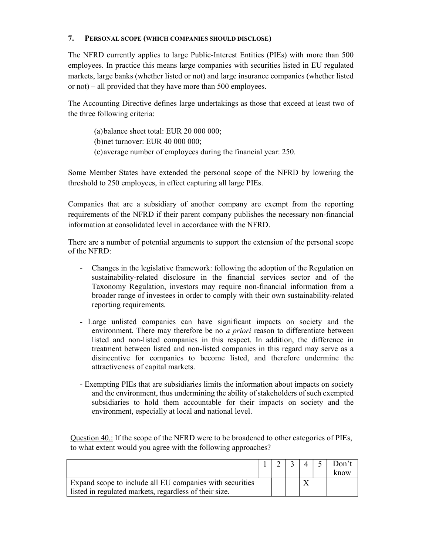#### 7. PERSONAL SCOPE (WHICH COMPANIES SHOULD DISCLOSE)

The NFRD currently applies to large Public-Interest Entities (PIEs) with more than 500 employees. In practice this means large companies with securities listed in EU regulated markets, large banks (whether listed or not) and large insurance companies (whether listed or not) – all provided that they have more than 500 employees.

The Accounting Directive defines large undertakings as those that exceed at least two of the three following criteria:

(a)balance sheet total: EUR 20 000 000; (b)net turnover: EUR 40 000 000; (c)average number of employees during the financial year: 250.

Some Member States have extended the personal scope of the NFRD by lowering the threshold to 250 employees, in effect capturing all large PIEs.

Companies that are a subsidiary of another company are exempt from the reporting requirements of the NFRD if their parent company publishes the necessary non-financial information at consolidated level in accordance with the NFRD.

There are a number of potential arguments to support the extension of the personal scope of the NFRD:

- Changes in the legislative framework: following the adoption of the Regulation on sustainability-related disclosure in the financial services sector and of the Taxonomy Regulation, investors may require non-financial information from a broader range of investees in order to comply with their own sustainability-related reporting requirements.
- Large unlisted companies can have significant impacts on society and the environment. There may therefore be no *a priori* reason to differentiate between listed and non-listed companies in this respect. In addition, the difference in treatment between listed and non-listed companies in this regard may serve as a disincentive for companies to become listed, and therefore undermine the attractiveness of capital markets.
- Exempting PIEs that are subsidiaries limits the information about impacts on society and the environment, thus undermining the ability of stakeholders of such exempted subsidiaries to hold them accountable for their impacts on society and the environment, especially at local and national level.

Question  $40$ .: If the scope of the NFRD were to be broadened to other categories of PIEs, to what extent would you agree with the following approaches?

|                                                          |  |  | Don't |
|----------------------------------------------------------|--|--|-------|
|                                                          |  |  | know  |
| Expand scope to include all EU companies with securities |  |  |       |
| listed in regulated markets, regardless of their size.   |  |  |       |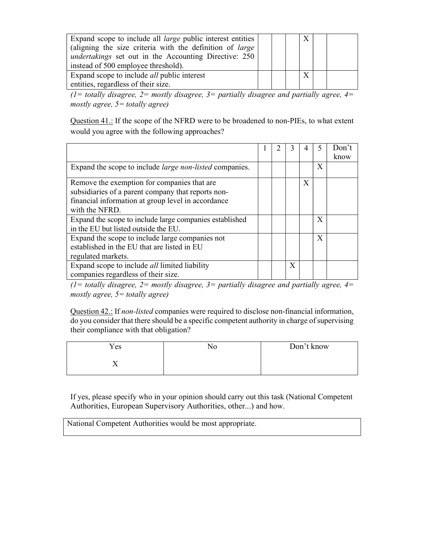| Expand scope to include all <i>large</i> public interest entities<br>(aligning the size criteria with the definition of <i>large</i><br><i>undertakings</i> set out in the Accounting Directive: 250 |  |  |  |
|------------------------------------------------------------------------------------------------------------------------------------------------------------------------------------------------------|--|--|--|
| instead of 500 employee threshold).                                                                                                                                                                  |  |  |  |
| Expand scope to include <i>all</i> public interest                                                                                                                                                   |  |  |  |
| entities, regardless of their size.                                                                                                                                                                  |  |  |  |

 $(1=$  totally disagree,  $2=$  mostly disagree,  $3=$  partially disagree and partially agree,  $4=$ mostly agree,  $5 =$  totally agree)

Question 41.: If the scope of the NFRD were to be broadened to non-PIEs, to what extent would you agree with the following approaches?

|                                                                                                                                                                           |  |   |   |   | Don't<br>know |
|---------------------------------------------------------------------------------------------------------------------------------------------------------------------------|--|---|---|---|---------------|
| Expand the scope to include <i>large non-listed</i> companies.                                                                                                            |  |   |   | X |               |
| Remove the exemption for companies that are<br>subsidiaries of a parent company that reports non-<br>financial information at group level in accordance<br>with the NFRD. |  |   | X |   |               |
| Expand the scope to include large companies established<br>in the EU but listed outside the EU.                                                                           |  |   |   | X |               |
| Expand the scope to include large companies not<br>established in the EU that are listed in EU<br>regulated markets.                                                      |  |   |   | X |               |
| Expand scope to include <i>all</i> limited liability<br>companies regardless of their size.                                                                               |  | Χ |   |   |               |

 $(1=$  totally disagree,  $2=$  mostly disagree,  $3=$  partially disagree and partially agree,  $4=$ mostly agree,  $5 =$  totally agree)

Question 42.: If non-listed companies were required to disclose non-financial information, do you consider that there should be a specific competent authority in charge of supervising their compliance with that obligation?

| Yes | NO | Don't know |
|-----|----|------------|
|     |    |            |

If yes, please specify who in your opinion should carry out this task (National Competent Authorities, European Supervisory Authorities, other...) and how.

National Competent Authorities would be most appropriate.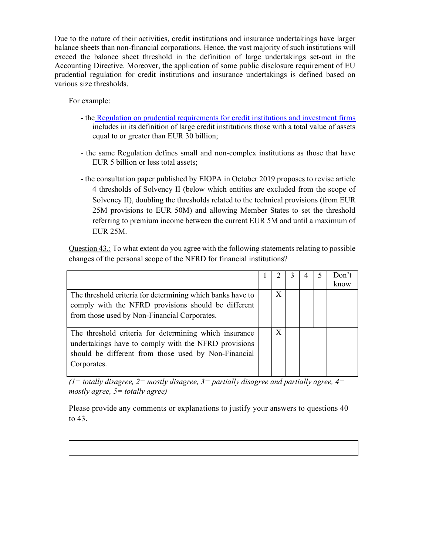Due to the nature of their activities, credit institutions and insurance undertakings have larger balance sheets than non-financial corporations. Hence, the vast majority of such institutions will exceed the balance sheet threshold in the definition of large undertakings set-out in the Accounting Directive. Moreover, the application of some public disclosure requirement of EU prudential regulation for credit institutions and insurance undertakings is defined based on various size thresholds.

For example:

- the Regulation on prudential requirements for credit institutions and investment firms includes in its definition of large credit institutions those with a total value of assets equal to or greater than EUR 30 billion;
- the same Regulation defines small and non-complex institutions as those that have EUR 5 billion or less total assets;
- the consultation paper published by EIOPA in October 2019 proposes to revise article 4 thresholds of Solvency II (below which entities are excluded from the scope of Solvency II), doubling the thresholds related to the technical provisions (from EUR 25M provisions to EUR 50M) and allowing Member States to set the threshold referring to premium income between the current EUR 5M and until a maximum of EUR 25M.

Question 43.: To what extent do you agree with the following statements relating to possible changes of the personal scope of the NFRD for financial institutions?

|                                                            |   |  | Don't |
|------------------------------------------------------------|---|--|-------|
|                                                            |   |  | know  |
| The threshold criteria for determining which banks have to | X |  |       |
| comply with the NFRD provisions should be different        |   |  |       |
| from those used by Non-Financial Corporates.               |   |  |       |
|                                                            |   |  |       |
| The threshold criteria for determining which insurance     | X |  |       |
| undertakings have to comply with the NFRD provisions       |   |  |       |
| should be different from those used by Non-Financial       |   |  |       |
| Corporates.                                                |   |  |       |
|                                                            |   |  |       |

 $(1=$  totally disagree,  $2=$  mostly disagree,  $3=$  partially disagree and partially agree,  $4=$ mostly agree,  $5 =$  totally agree)

Please provide any comments or explanations to justify your answers to questions 40 to 43.